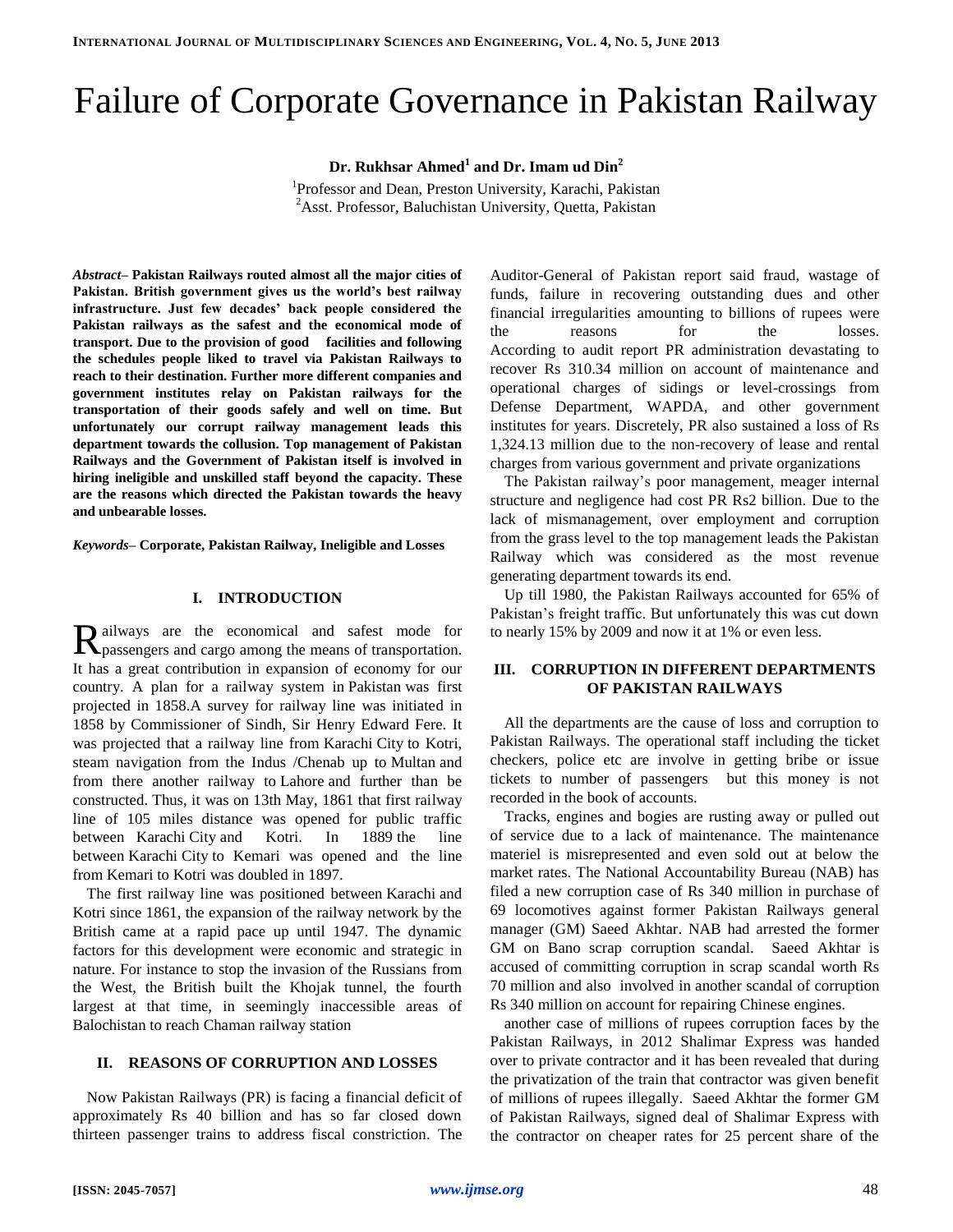# Failure of Corporate Governance in Pakistan Railway

**Dr. Rukhsar Ahmed<sup>1</sup> and Dr. Imam ud Din<sup>2</sup>**

<sup>1</sup>Professor and Dean, Preston University, Karachi, Pakistan <sup>2</sup>Asst. Professor, Baluchistan University, Quetta, Pakistan

*Abstract–* **Pakistan Railways routed almost all the major cities of Pakistan. British government gives us the world's best railway infrastructure. Just few decades' back people considered the Pakistan railways as the safest and the economical mode of transport. Due to the provision of good facilities and following the schedules people liked to travel via Pakistan Railways to reach to their destination. Further more different companies and government institutes relay on Pakistan railways for the transportation of their goods safely and well on time. But unfortunately our corrupt railway management leads this department towards the collusion. Top management of Pakistan Railways and the Government of Pakistan itself is involved in hiring ineligible and unskilled staff beyond the capacity. These are the reasons which directed the Pakistan towards the heavy and unbearable losses.**

*Keywords–* **Corporate, Pakistan Railway, Ineligible and Losses**

## **I. INTRODUCTION**

ailways are the economical and safest mode for Railways are the economical and safest mode for passengers and cargo among the means of transportation. It has a great contribution in expansion of economy for our country. A plan for a railway system in Pakistan was first projected in 1858.A survey for railway line was initiated in 1858 by Commissioner of Sindh, Sir Henry Edward Fere. It was projected that a railway line from Karachi City to Kotri, steam navigation from the Indus /Chenab up to Multan and from there another railway to Lahore and further than be constructed. Thus, it was on 13th May, 1861 that first railway line of 105 miles distance was opened for public traffic between Karachi City and Kotri. In 1889 the line between Karachi City to Kemari was opened and the line from Kemari to Kotri was doubled in 1897.

The first railway line was positioned between Karachi and Kotri since 1861, the expansion of the railway network by the British came at a rapid pace up until 1947. The dynamic factors for this development were economic and strategic in nature. For instance to stop the invasion of the Russians from the West, the British built the Khojak tunnel, the fourth largest at that time, in seemingly inaccessible areas of Balochistan to reach Chaman railway station

### **II. REASONS OF CORRUPTION AND LOSSES**

Now Pakistan Railways (PR) is facing a financial deficit of approximately Rs 40 billion and has so far closed down thirteen passenger trains to address fiscal constriction. The

Auditor-General of Pakistan report said fraud, wastage of funds, failure in recovering outstanding dues and other financial irregularities amounting to billions of rupees were the reasons for the losses. According to audit report PR administration devastating to recover Rs 310.34 million on account of maintenance and operational charges of sidings or level-crossings from Defense Department, WAPDA, and other government institutes for years. Discretely, PR also sustained a loss of Rs 1,324.13 million due to the non-recovery of lease and rental charges from various government and private organizations

The Pakistan railway's poor management, meager internal structure and negligence had cost PR Rs2 billion. Due to the lack of mismanagement, over employment and corruption from the grass level to the top management leads the Pakistan Railway which was considered as the most revenue generating department towards its end.

Up till 1980, the Pakistan Railways accounted for 65% of Pakistan's freight traffic. But unfortunately this was cut down to nearly 15% by 2009 and now it at 1% or even less.

# **III. CORRUPTION IN DIFFERENT DEPARTMENTS OF PAKISTAN RAILWAYS**

All the departments are the cause of loss and corruption to Pakistan Railways. The operational staff including the ticket checkers, police etc are involve in getting bribe or issue tickets to number of passengers but this money is not recorded in the book of accounts.

Tracks, engines and bogies are rusting away or pulled out of service due to a lack of maintenance. The maintenance materiel is misrepresented and even sold out at below the market rates. The National Accountability Bureau (NAB) has filed a new corruption case of Rs 340 million in purchase of 69 locomotives against former Pakistan Railways general manager (GM) Saeed Akhtar. NAB had arrested the former GM on Bano scrap corruption scandal. Saeed Akhtar is accused of committing corruption in scrap scandal worth Rs 70 million and also involved in another scandal of corruption Rs 340 million on account for repairing Chinese engines.

another case of millions of rupees corruption faces by the Pakistan Railways, in 2012 Shalimar Express was handed over to private contractor and it has been revealed that during the privatization of the train that contractor was given benefit of millions of rupees illegally. Saeed Akhtar the former GM of Pakistan Railways, signed deal of Shalimar Express with the contractor on cheaper rates for 25 percent share of the